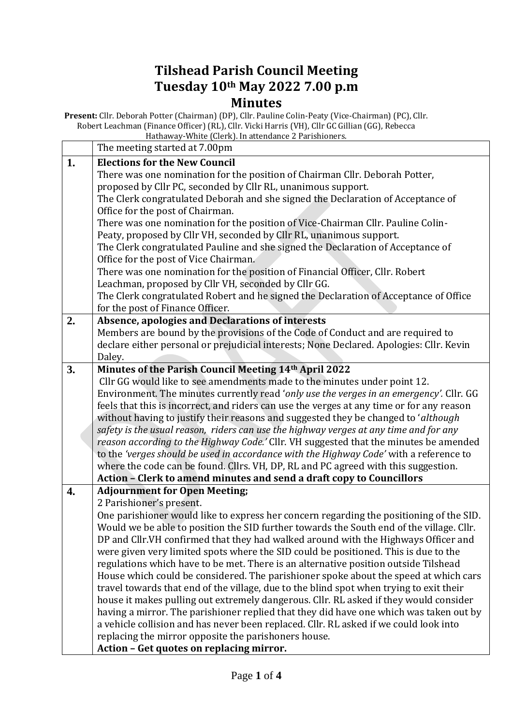## **Tilshead Parish Council Meeting Tuesday 10th May 2022 7.00 p.m Minutes**

**Present:** Cllr. Deborah Potter (Chairman) (DP), Cllr. Pauline Colin-Peaty (Vice-Chairman) (PC), Cllr. Robert Leachman (Finance Officer) (RL), Cllr. Vicki Harris (VH), Cllr GC Gillian (GG), Rebecca Hathaway-White (Clerk). In attendance 2 Parishioners.

|    | The meeting started at 7.00pm                                                                                                                              |
|----|------------------------------------------------------------------------------------------------------------------------------------------------------------|
| 1. | <b>Elections for the New Council</b>                                                                                                                       |
|    | There was one nomination for the position of Chairman Cllr. Deborah Potter,                                                                                |
|    | proposed by Cllr PC, seconded by Cllr RL, unanimous support.                                                                                               |
|    | The Clerk congratulated Deborah and she signed the Declaration of Acceptance of                                                                            |
|    | Office for the post of Chairman.                                                                                                                           |
|    | There was one nomination for the position of Vice-Chairman Cllr. Pauline Colin-                                                                            |
|    | Peaty, proposed by Cllr VH, seconded by Cllr RL, unanimous support.                                                                                        |
|    | The Clerk congratulated Pauline and she signed the Declaration of Acceptance of                                                                            |
|    | Office for the post of Vice Chairman.                                                                                                                      |
|    | There was one nomination for the position of Financial Officer, Cllr. Robert                                                                               |
|    | Leachman, proposed by Cllr VH, seconded by Cllr GG.                                                                                                        |
|    | The Clerk congratulated Robert and he signed the Declaration of Acceptance of Office                                                                       |
|    | for the post of Finance Officer.                                                                                                                           |
| 2. | Absence, apologies and Declarations of interests                                                                                                           |
|    | Members are bound by the provisions of the Code of Conduct and are required to                                                                             |
|    | declare either personal or prejudicial interests; None Declared. Apologies: Cllr. Kevin                                                                    |
|    | Daley.                                                                                                                                                     |
| 3. | Minutes of the Parish Council Meeting 14th April 2022                                                                                                      |
|    | Cllr GG would like to see amendments made to the minutes under point 12.                                                                                   |
|    | Environment. The minutes currently read 'only use the verges in an emergency'. Cllr. GG                                                                    |
|    | feels that this is incorrect, and riders can use the verges at any time or for any reason                                                                  |
|    | without having to justify their reasons and suggested they be changed to 'although                                                                         |
|    | safety is the usual reason, riders can use the highway verges at any time and for any                                                                      |
|    | reason according to the Highway Code.' Cllr. VH suggested that the minutes be amended                                                                      |
|    | to the 'verges should be used in accordance with the Highway Code' with a reference to                                                                     |
|    | where the code can be found. Cllrs. VH, DP, RL and PC agreed with this suggestion.<br>Action - Clerk to amend minutes and send a draft copy to Councillors |
| 4. | <b>Adjournment for Open Meeting;</b>                                                                                                                       |
|    | 2 Parishioner's present.                                                                                                                                   |
|    | One parishioner would like to express her concern regarding the positioning of the SID.                                                                    |
|    | Would we be able to position the SID further towards the South end of the village. Cllr.                                                                   |
|    | DP and Cllr. VH confirmed that they had walked around with the Highways Officer and                                                                        |
|    | were given very limited spots where the SID could be positioned. This is due to the                                                                        |
|    | regulations which have to be met. There is an alternative position outside Tilshead                                                                        |
|    | House which could be considered. The parishioner spoke about the speed at which cars                                                                       |
|    | travel towards that end of the village, due to the blind spot when trying to exit their                                                                    |
|    | house it makes pulling out extremely dangerous. Cllr. RL asked if they would consider                                                                      |
|    | having a mirror. The parishioner replied that they did have one which was taken out by                                                                     |
|    | a vehicle collision and has never been replaced. Cllr. RL asked if we could look into                                                                      |
|    | replacing the mirror opposite the parishoners house.                                                                                                       |
|    | Action - Get quotes on replacing mirror.                                                                                                                   |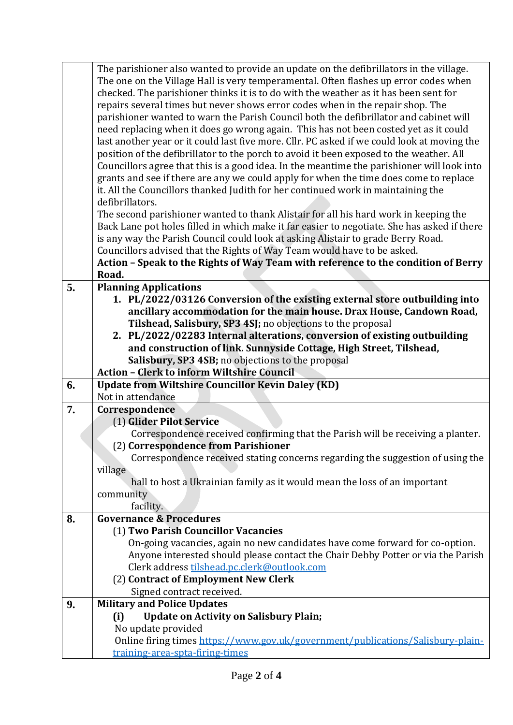|    | The parishioner also wanted to provide an update on the defibrillators in the village.                             |
|----|--------------------------------------------------------------------------------------------------------------------|
|    | The one on the Village Hall is very temperamental. Often flashes up error codes when                               |
|    | checked. The parishioner thinks it is to do with the weather as it has been sent for                               |
|    | repairs several times but never shows error codes when in the repair shop. The                                     |
|    | parishioner wanted to warn the Parish Council both the defibrillator and cabinet will                              |
|    | need replacing when it does go wrong again. This has not been costed yet as it could                               |
|    | last another year or it could last five more. Cllr. PC asked if we could look at moving the                        |
|    | position of the defibrillator to the porch to avoid it been exposed to the weather. All                            |
|    | Councillors agree that this is a good idea. In the meantime the parishioner will look into                         |
|    | grants and see if there are any we could apply for when the time does come to replace                              |
|    | it. All the Councillors thanked Judith for her continued work in maintaining the                                   |
|    | defibrillators.                                                                                                    |
|    | The second parishioner wanted to thank Alistair for all his hard work in keeping the                               |
|    | Back Lane pot holes filled in which make it far easier to negotiate. She has asked if there                        |
|    | is any way the Parish Council could look at asking Alistair to grade Berry Road.                                   |
|    | Councillors advised that the Rights of Way Team would have to be asked.                                            |
|    | Action - Speak to the Rights of Way Team with reference to the condition of Berry                                  |
|    | Road.                                                                                                              |
| 5. | <b>Planning Applications</b>                                                                                       |
|    | 1. PL/2022/03126 Conversion of the existing external store outbuilding into                                        |
|    | ancillary accommodation for the main house. Drax House, Candown Road,                                              |
|    | Tilshead, Salisbury, SP3 4SJ; no objections to the proposal                                                        |
|    | 2. PL/2022/02283 Internal alterations, conversion of existing outbuilding                                          |
|    | and construction of link. Sunnyside Cottage, High Street, Tilshead,                                                |
|    | Salisbury, SP3 4SB; no objections to the proposal                                                                  |
|    | <b>Action - Clerk to inform Wiltshire Council</b>                                                                  |
| 6. | <b>Update from Wiltshire Councillor Kevin Daley (KD)</b>                                                           |
|    | Not in attendance                                                                                                  |
| 7. | Correspondence                                                                                                     |
|    | (1) Glider Pilot Service                                                                                           |
|    | Correspondence received confirming that the Parish will be receiving a planter.                                    |
|    | (2) Correspondence from Parishioner                                                                                |
|    | Correspondence received stating concerns regarding the suggestion of using the                                     |
|    | village                                                                                                            |
|    | hall to host a Ukrainian family as it would mean the loss of an important                                          |
|    | community                                                                                                          |
|    | facility.                                                                                                          |
| 8. | <b>Governance &amp; Procedures</b>                                                                                 |
|    |                                                                                                                    |
|    | (1) Two Parish Councillor Vacancies                                                                                |
|    | On-going vacancies, again no new candidates have come forward for co-option.                                       |
|    | Anyone interested should please contact the Chair Debby Potter or via the Parish                                   |
|    | Clerk address tilshead.pc.clerk@outlook.com                                                                        |
|    | (2) Contract of Employment New Clerk                                                                               |
|    | Signed contract received.                                                                                          |
| 9. | <b>Military and Police Updates</b>                                                                                 |
|    | <b>Update on Activity on Salisbury Plain;</b><br>(i)                                                               |
|    | No update provided                                                                                                 |
|    | Online firing times https://www.gov.uk/government/publications/Salisbury-plain-<br>training-area-spta-firing-times |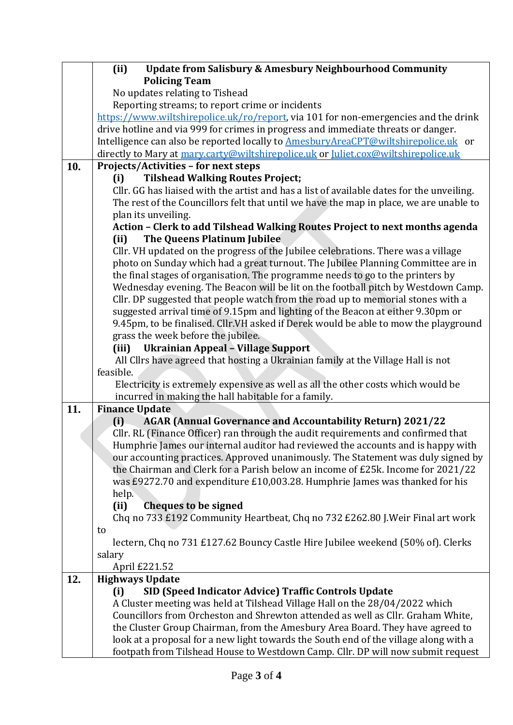|     | <b>Update from Salisbury &amp; Amesbury Neighbourhood Community</b><br>(ii)               |
|-----|-------------------------------------------------------------------------------------------|
|     | <b>Policing Team</b>                                                                      |
|     | No updates relating to Tishead                                                            |
|     | Reporting streams; to report crime or incidents                                           |
|     | https://www.wiltshirepolice.uk/ro/report, via 101 for non-emergencies and the drink       |
|     | drive hotline and via 999 for crimes in progress and immediate threats or danger.         |
|     | Intelligence can also be reported locally to AmesburyAreaCPT@wiltshirepolice.uk or        |
|     | directly to Mary at mary.carty@wiltshirepolice.uk or Juliet.cox@wiltshirepolice.uk        |
| 10. | <b>Projects/Activities - for next steps</b>                                               |
|     | <b>Tilshead Walking Routes Project;</b><br>(i)                                            |
|     | Cllr. GG has liaised with the artist and has a list of available dates for the unveiling. |
|     | The rest of the Councillors felt that until we have the map in place, we are unable to    |
|     | plan its unveiling.                                                                       |
|     | Action - Clerk to add Tilshead Walking Routes Project to next months agenda               |
|     | The Queens Platinum Jubilee<br>(ii)                                                       |
|     | Cllr. VH updated on the progress of the Jubilee celebrations. There was a village         |
|     | photo on Sunday which had a great turnout. The Jubilee Planning Committee are in          |
|     | the final stages of organisation. The programme needs to go to the printers by            |
|     | Wednesday evening. The Beacon will be lit on the football pitch by Westdown Camp.         |
|     | Cllr. DP suggested that people watch from the road up to memorial stones with a           |
|     | suggested arrival time of 9.15pm and lighting of the Beacon at either 9.30pm or           |
|     | 9.45pm, to be finalised. Cllr. VH asked if Derek would be able to mow the playground      |
|     | grass the week before the jubilee.                                                        |
|     | <b>Ukrainian Appeal - Village Support</b><br>(iii)                                        |
|     | All Cllrs have agreed that hosting a Ukrainian family at the Village Hall is not          |
|     | feasible.                                                                                 |
|     | Electricity is extremely expensive as well as all the other costs which would be          |
|     | incurred in making the hall habitable for a family.                                       |
| 11. | <b>Finance Update</b>                                                                     |
|     | <b>AGAR (Annual Governance and Accountability Return) 2021/22</b><br>(i)                  |
|     | Cllr. RL (Finance Officer) ran through the audit requirements and confirmed that          |
|     | Humphrie James our internal auditor had reviewed the accounts and is happy with           |
|     | our accounting practices. Approved unanimously. The Statement was duly signed by          |
|     | the Chairman and Clerk for a Parish below an income of £25k. Income for 2021/22           |
|     | was £9272.70 and expenditure £10,003.28. Humphrie James was thanked for his               |
|     | help.                                                                                     |
|     | <b>Cheques to be signed</b><br>(ii)                                                       |
|     | Chq no 733 £192 Community Heartbeat, Chq no 732 £262.80 J. Weir Final art work            |
|     | to                                                                                        |
|     | lectern, Chq no 731 £127.62 Bouncy Castle Hire Jubilee weekend (50% of). Clerks           |
|     | salary                                                                                    |
|     | April £221.52                                                                             |
| 12. | <b>Highways Update</b>                                                                    |
|     | <b>SID (Speed Indicator Advice) Traffic Controls Update</b><br>(i)                        |
|     | A Cluster meeting was held at Tilshead Village Hall on the 28/04/2022 which               |
|     | Councillors from Orcheston and Shrewton attended as well as Cllr. Graham White,           |
|     | the Cluster Group Chairman, from the Amesbury Area Board. They have agreed to             |
|     | look at a proposal for a new light towards the South end of the village along with a      |
|     | footpath from Tilshead House to Westdown Camp. Cllr. DP will now submit request           |